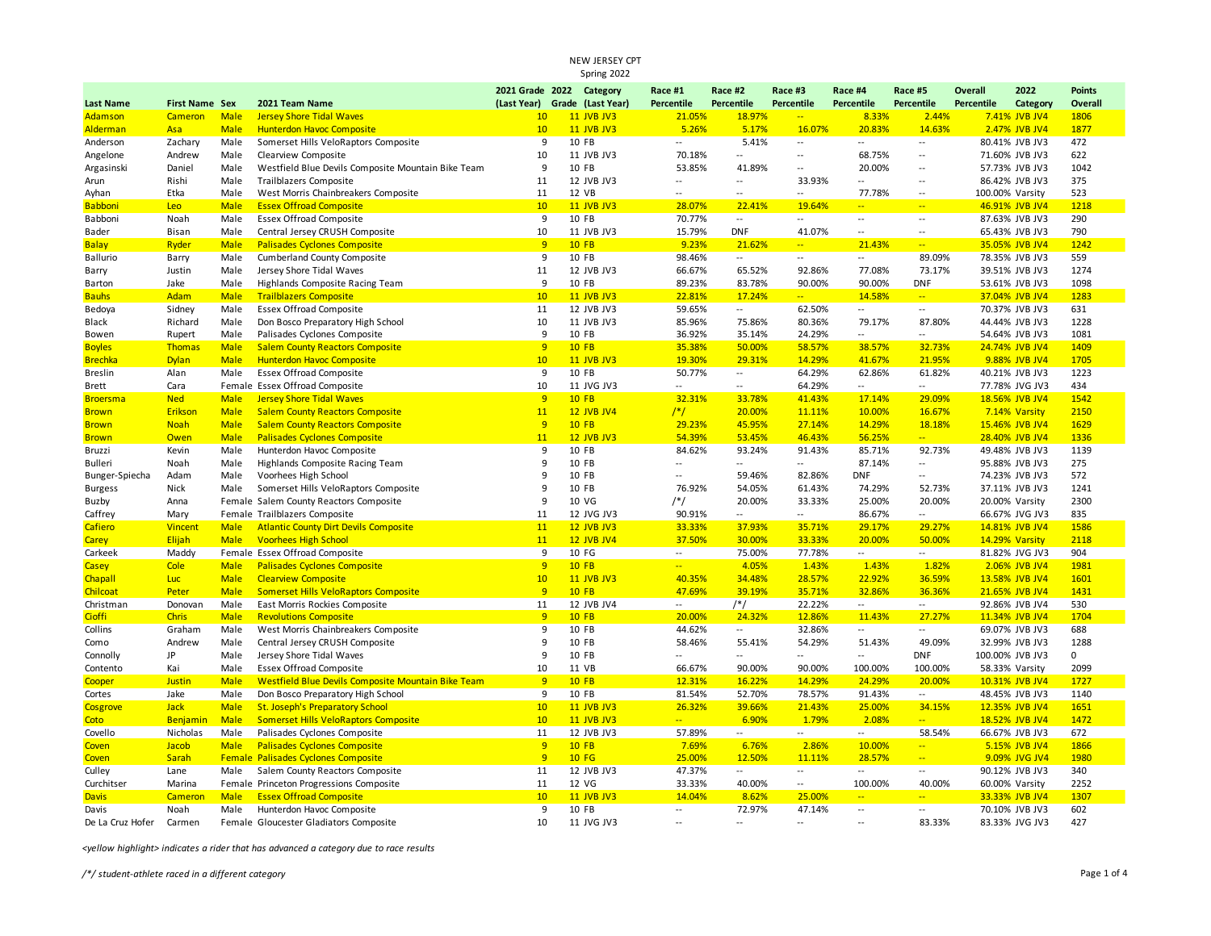| Spring 2022             |                       |              |                                                           |                               |  |                   |                          |                          |                          |                          |                                    |                 |                                  |               |
|-------------------------|-----------------------|--------------|-----------------------------------------------------------|-------------------------------|--|-------------------|--------------------------|--------------------------|--------------------------|--------------------------|------------------------------------|-----------------|----------------------------------|---------------|
|                         |                       |              |                                                           | 2021 Grade 2022 Category      |  |                   | Race #1                  | Race #2                  | Race #3                  | Race #4                  | Race #5                            | Overall         | 2022                             | <b>Points</b> |
| <b>Last Name</b>        | <b>First Name Sex</b> |              | 2021 Team Name                                            | (Last Year) Grade (Last Year) |  |                   | Percentile               | Percentile               | <b>Percentile</b>        | Percentile               | Percentile                         | Percentile      | Category                         | Overall       |
| Adamson                 | Cameron               | <b>Male</b>  | <b>Jersey Shore Tidal Waves</b>                           | 10 <sup>°</sup>               |  | 11 JVB JV3        | 21.05%                   | 18.97%                   | Ξ.                       | 8.33%                    | 2.44%                              |                 | 7.41% JVB JV4                    | 1806          |
| <b>Alderman</b>         | Asa                   | <b>Male</b>  | <b>Hunterdon Havoc Composite</b>                          | 10                            |  | 11 JVB JV3        | 5.26%                    | 5.17%                    | 16.07%                   | 20.83%                   | 14.63%                             |                 | 2.47% JVB JV4                    | 1877          |
| Anderson                | Zachary               | Male         | Somerset Hills VeloRaptors Composite                      | 9                             |  | 10 FB             | $\overline{\phantom{a}}$ | 5.41%                    | $\overline{\phantom{a}}$ | Ξ.                       | $\overline{\phantom{a}}$           |                 | 80.41% JVB JV3                   | 472           |
| Angelone                | Andrew                | Male         | Clearview Composite                                       | 10                            |  | 11 JVB JV3        | 70.18%                   | $\overline{\phantom{a}}$ | $\overline{\phantom{a}}$ | 68.75%                   | $\overline{\phantom{a}}$           |                 | 71.60% JVB JV3                   | 622           |
| Argasinski              | Daniel                | Male         | Westfield Blue Devils Composite Mountain Bike Team        | 9                             |  | 10 FB             | 53.85%                   | 41.89%                   | $\ddotsc$                | 20.00%                   | $\overline{\phantom{a}}$           |                 | 57.73% JVB JV3                   | 1042          |
| Arun                    | Rishi                 | Male         | Trailblazers Composite                                    | 11                            |  | 12 JVB JV3        | $\overline{\phantom{a}}$ | $\sim$                   | 33.93%                   |                          | $\overline{\phantom{a}}$           |                 | 86.42% JVB JV3                   | 375           |
| Ayhan                   | Etka                  | Male         | West Morris Chainbreakers Composite                       | 11                            |  | 12 VB             |                          | $\overline{a}$           | $\ddotsc$                | 77.78%                   | $\sim$                             | 100.00% Varsity |                                  | 523           |
| <b>Babboni</b>          | Leo                   | <b>Male</b>  | <b>Essex Offroad Composite</b>                            | 10 <sup>°</sup>               |  | 11 JVB JV3        | 28.07%                   | 22.41%                   | 19.64%                   | <u>.,</u>                | $\rightarrow$                      |                 | 46.91% JVB JV4                   | 1218          |
| Babboni                 | Noah                  | Male         | <b>Essex Offroad Composite</b>                            | 9                             |  | 10 FB             | 70.77%                   | $\overline{\phantom{a}}$ | $\sim$                   | $\overline{\phantom{a}}$ | $\overline{\phantom{a}}$           |                 | 87.63% JVB JV3                   | 290           |
| Bader                   | Bisan                 | Male         | Central Jersey CRUSH Composite                            | 10                            |  | 11 JVB JV3        | 15.79%                   | <b>DNF</b>               | 41.07%                   | $\overline{\phantom{a}}$ | $\overline{\phantom{a}}$           |                 | 65.43% JVB JV3                   | 790           |
| <b>Balay</b>            | Ryder                 | <b>Male</b>  | <b>Palisades Cyclones Composite</b>                       | 9                             |  | 10 FB             | 9.23%                    | 21.62%                   | aan.                     | 21.43%                   | $\frac{1}{2}$                      |                 | 35.05% JVB JV4                   | 1242          |
| Ballurio                | Barry                 | Male         | Cumberland County Composite                               | 9                             |  | 10 FB             | 98.46%                   | $\sim$                   | $\sim$                   | Щ.                       | 89.09%                             |                 | 78.35% JVB JV3                   | 559           |
| Barry                   | Justin                | Male         | Jersey Shore Tidal Waves                                  | 11                            |  | 12 JVB JV3        | 66.67%                   | 65.52%                   | 92.86%                   | 77.08%                   | 73.17%                             |                 | 39.51% JVB JV3                   | 1274          |
| Barton                  | Jake                  | Male         | Highlands Composite Racing Team                           | 9                             |  | 10 FB             | 89.23%                   | 83.78%                   | 90.00%                   | 90.00%                   | <b>DNF</b>                         |                 | 53.61% JVB JV3                   | 1098          |
| <b>Bauhs</b>            | Adam                  | <b>Male</b>  | <b>Trailblazers Composite</b>                             | 10 <sup>°</sup>               |  | <b>11 JVB JV3</b> | 22.81%                   | 17.24%                   | $\frac{1}{2}$            | 14.58%                   | $\frac{1}{2}$                      |                 | 37.04% JVB JV4                   | 1283          |
| Bedoya                  | Sidney                | Male         | <b>Essex Offroad Composite</b>                            | 11                            |  | 12 JVB JV3        | 59.65%                   | $\sim$                   | 62.50%                   | --                       | $\sim$                             |                 | 70.37% JVB JV3                   | 631           |
| Black                   | Richard               | Male         | Don Bosco Preparatory High School                         | 10                            |  | 11 JVB JV3        | 85.96%                   | 75.86%                   | 80.36%                   | 79.17%                   | 87.80%                             |                 | 44.44% JVB JV3                   | 1228          |
| Bowen                   | Rupert                | Male         | Palisades Cyclones Composite                              | 9                             |  | 10 FB             | 36.92%                   | 35.14%                   | 24.29%                   | $\overline{a}$           | $\overline{\phantom{a}}$           |                 | 54.64% JVB JV3                   | 1081          |
| <b>Boyles</b>           | Thomas                | <b>Male</b>  | <b>Salem County Reactors Composite</b>                    | 9                             |  | 10 FB             | 35.38%                   | 50.00%                   | 58.57%                   | 38.57%                   | 32.73%                             |                 | 24.74% JVB JV4                   | 1409          |
| <b>Brechka</b>          | <b>Dylan</b>          | <b>Male</b>  | <b>Hunterdon Havoc Composite</b>                          | 10                            |  | 11 JVB JV3        | 19.30%                   | 29.31%                   | 14.29%                   | 41.67%                   | 21.95%                             |                 | 9.88% JVB JV4                    | 1705          |
| <b>Breslin</b>          | Alan                  | Male         | <b>Essex Offroad Composite</b>                            | 9                             |  | 10 FB             | 50.77%                   | $\sim$                   | 64.29%                   | 62.86%                   | 61.82%                             |                 | 40.21% JVB JV3                   | 1223          |
| Brett                   | Cara                  |              | Female Essex Offroad Composite                            | 10                            |  | 11 JVG JV3        | $\sim$                   | $\overline{\phantom{a}}$ | 64.29%                   | щ.                       | $\sim$                             |                 | 77.78% JVG JV3                   | 434           |
| <b>Broersma</b>         | <b>Ned</b>            | <b>Male</b>  | <b>Jersey Shore Tidal Waves</b>                           | $\overline{9}$                |  | 10 FB             | 32.31%                   | 33.78%                   | 41.43%                   | 17.14%                   | 29.09%                             |                 | 18.56% JVB JV4                   | 1542          |
| <b>Brown</b>            | Erikson               | <b>Male</b>  | <b>Salem County Reactors Composite</b>                    | 11                            |  | <b>12 JVB JV4</b> | $/*/$                    | 20.00%                   | 11.11%                   | 10.00%                   | 16.67%                             |                 | 7.14% Varsity                    | 2150          |
| <b>Brown</b>            | <b>Noah</b>           | <b>Male</b>  | <b>Salem County Reactors Composite</b>                    | 9                             |  | 10 FB             | 29.23%                   | 45.95%                   | 27.14%                   | 14.29%                   | 18.18%                             |                 | 15.46% JVB JV4                   | 1629          |
| <b>Brown</b>            | Owen                  | <b>Male</b>  | <b>Palisades Cyclones Composite</b>                       | 11                            |  | <b>12 JVB JV3</b> | 54.39%                   | 53.45%                   | 46.43%                   | 56.25%                   | $\overline{a}$                     |                 | 28.40% JVB JV4                   | 1336          |
| Bruzzi                  | Kevin                 | Male         | Hunterdon Havoc Composite                                 | 9                             |  | 10 FB             | 84.62%                   | 93.24%                   | 91.43%                   | 85.71%                   | 92.73%                             |                 | 49.48% JVB JV3                   | 1139          |
| <b>Bulleri</b>          | Noah                  | Male         | Highlands Composite Racing Team                           | 9                             |  | 10 FB             | $\sim$                   | $\mathbb{L}^2$           | $\overline{\phantom{a}}$ | 87.14%                   | $\overline{\phantom{a}}$           |                 | 95.88% JVB JV3                   | 275           |
| Bunger-Spiecha          | Adam                  | Male         | Voorhees High School                                      | 9                             |  | 10 FB             | $\sim$                   | 59.46%                   | 82.86%                   | <b>DNF</b>               | $\sim$                             |                 | 74.23% JVB JV3                   | 572           |
| <b>Burgess</b>          | Nick                  | Male         | Somerset Hills VeloRaptors Composite                      | 9                             |  | 10 FB             | 76.92%                   | 54.05%                   | 61.43%                   | 74.29%                   | 52.73%                             |                 | 37.11% JVB JV3                   | 1241          |
| Buzby                   | Anna                  |              | Female Salem County Reactors Composite                    | 9                             |  | 10 VG             | $/*/$                    | 20.00%                   | 33.33%                   | 25.00%                   | 20.00%                             |                 | 20.00% Varsity                   | 2300          |
| Caffrey                 | Mary                  |              | Female Trailblazers Composite                             | 11                            |  | 12 JVG JV3        | 90.91%                   | $\overline{\phantom{a}}$ | $\overline{\phantom{a}}$ | 86.67%                   | --                                 |                 | 66.67% JVG JV3                   | 835           |
| Cafiero                 | Vincent               | <b>Male</b>  | <b>Atlantic County Dirt Devils Composite</b>              | 11                            |  | <b>12 JVB JV3</b> | 33.33%                   | 37.93%                   | 35.71%                   | 29.17%                   | 29.27%                             |                 | 14.81% JVB JV4                   | 1586          |
| Carey                   | Elijah                | <b>Male</b>  | <b>Voorhees High School</b>                               | 11                            |  | <b>12 JVB JV4</b> | 37.50%                   | 30.00%                   | 33.33%                   | 20.00%                   | 50.00%                             |                 | 14.29% Varsity                   | 2118          |
| Carkeek                 | Maddy                 |              | Female Essex Offroad Composite                            | 9                             |  | 10 FG             | $\overline{\phantom{a}}$ | 75.00%                   | 77.78%                   | Щ.                       | $\sim$                             |                 | 81.82% JVG JV3                   | 904           |
|                         | Cole                  | <b>Male</b>  | <b>Palisades Cyclones Composite</b>                       | 9                             |  | 10 FB             | $\frac{1}{2}$            | 4.05%                    | 1.43%                    | 1.43%                    | 1.82%                              |                 | 2.06% JVB JV4                    | 1981          |
| <b>Casey</b><br>Chapall | Luc                   | <b>Male</b>  | <b>Clearview Composite</b>                                | 10                            |  | <b>11 JVB JV3</b> | 40.35%                   | 34.48%                   | 28.57%                   | 22.92%                   | 36.59%                             |                 | 13.58% JVB JV4                   | 1601          |
|                         | Peter                 | <b>Male</b>  | <b>Somerset Hills VeloRaptors Composite</b>               | 9                             |  | 10 FB             | 47.69%                   | 39.19%                   | 35.71%                   | 32.86%                   | 36.36%                             |                 | 21.65% JVB JV4                   | 1431          |
| Chilcoat                |                       |              |                                                           |                               |  | 12 JVB JV4        |                          |                          |                          | $\overline{\phantom{a}}$ | $\sim$                             |                 |                                  |               |
| Christman               | Donovan               | Male         | East Morris Rockies Composite                             | 11<br>9                       |  | 10 FB             | $\sim$                   | $/*/$                    | 22.22%                   |                          |                                    |                 | 92.86% JVB JV4                   | 530<br>1704   |
| <b>Cioffi</b>           | <b>Chris</b>          | <b>Male</b>  | <b>Revolutions Composite</b>                              | 9                             |  | 10 FB             | 20.00%                   | 24.32%                   | 12.86%                   | 11.43%                   | 27.27%                             |                 | 11.34% JVB JV4                   | 688           |
| Collins                 | Graham<br>Andrew      | Male<br>Male | West Morris Chainbreakers Composite                       | 9                             |  | 10 FB             | 44.62%<br>58.46%         | $\sim$<br>55.41%         | 32.86%<br>54.29%         | Щ.<br>51.43%             | $\overline{\phantom{a}}$<br>49.09% |                 | 69.07% JVB JV3<br>32.99% JVB JV3 | 1288          |
| Como                    | <b>JP</b>             |              | Central Jersey CRUSH Composite                            |                               |  | 10 FB             | $\overline{a}$           | $\sim$                   | $\sim$                   | u.                       |                                    |                 |                                  | 0             |
| Connolly                |                       | Male         | Jersey Shore Tidal Waves                                  | 9<br>10                       |  |                   |                          |                          |                          |                          | <b>DNF</b>                         | 100.00% JVB JV3 |                                  |               |
| Contento                | Kai                   | Male         | <b>Essex Offroad Composite</b>                            |                               |  | 11 VB             | 66.67%                   | 90.00%                   | 90.00%                   | 100.00%                  | 100.00%                            |                 | 58.33% Varsity                   | 2099          |
| Cooper                  | <b>Justin</b>         | <b>Male</b>  | <b>Westfield Blue Devils Composite Mountain Bike Team</b> | 9                             |  | <b>10 FB</b>      | 12.31%                   | 16.22%                   | 14.29%                   | 24.29%                   | 20.00%                             |                 | 10.31% JVB JV4                   | 1727          |
| Cortes                  | Jake                  | Male         | Don Bosco Preparatory High School                         | 9                             |  | 10 FB             | 81.54%                   | 52.70%                   | 78.57%                   | 91.43%                   | $\overline{\phantom{a}}$           |                 | 48.45% JVB JV3                   | 1140          |
| Cosgrove                | <b>Jack</b>           | <b>Male</b>  | <b>St. Joseph's Preparatory School</b>                    | 10 <sup>°</sup>               |  | <b>11 JVB JV3</b> | 26.32%                   | 39.66%                   | 21.43%                   | 25.00%                   | 34.15%                             |                 | 12.35% JVB JV4                   | 1651          |
| Coto                    | Benjamin              | <b>Male</b>  | <b>Somerset Hills VeloRaptors Composite</b>               | 10 <sup>°</sup>               |  | <b>11 JVB JV3</b> | $-1$                     | 6.90%                    | 1.79%                    | 2.08%                    |                                    |                 | 18.52% JVB JV4                   | 1472          |
| Covello                 | Nicholas              | Male         | Palisades Cyclones Composite                              | 11                            |  | 12 JVB JV3        | 57.89%                   | $\sim$                   | $\sim$                   | $\sim$                   | 58.54%                             |                 | 66.67% JVB JV3                   | 672           |
| Coven                   | Jacob                 | <b>Male</b>  | <b>Palisades Cyclones Composite</b>                       | 9                             |  | 10 FB             | 7.69%                    | 6.76%                    | 2.86%                    | 10.00%                   | $\overline{\phantom{a}}$           |                 | 5.15% JVB JV4                    | 1866          |
| Coven                   | Sarah                 |              | Female Palisades Cyclones Composite                       | 9                             |  | 10 FG             | 25.00%                   | 12.50%                   | 11.11%                   | 28.57%                   | $\mathbb{L} \mathbb{L}$            |                 | 9.09% JVG JV4                    | 1980          |
| Culley                  | Lane                  | Male         | Salem County Reactors Composite                           | 11                            |  | 12 JVB JV3        | 47.37%                   | $\sim$                   | $\overline{a}$           | $\sim$                   | $\overline{a}$                     |                 | 90.12% JVB JV3                   | 340           |
| Curchitser              | Marina                |              | Female Princeton Progressions Composite                   | $11\,$                        |  | 12 VG             | 33.33%                   | 40.00%                   | $\sim$                   | 100.00%                  | 40.00%                             |                 | 60.00% Varsity                   | 2252          |
| <b>Davis</b>            | Cameron               | <b>Male</b>  | <b>Essex Offroad Composite</b>                            | 10                            |  | 11 JVB JV3        | 14.04%                   | 8.62%                    | 25.00%                   | $\overline{a}$           | start in                           |                 | 33.33% JVB JV4                   | 1307          |
| Davis                   | Noah                  | Male         | Hunterdon Havoc Composite                                 | 9                             |  | 10 FB             | $\overline{\phantom{a}}$ | 72.97%                   | 47.14%                   | $\overline{a}$           | $\overline{\phantom{a}}$           |                 | 70.10% JVB JV3                   | 602           |
| De La Cruz Hofer        | Carmen                |              | Female Gloucester Gladiators Composite                    | 10                            |  | 11 JVG JV3        | $\sim$ $\sim$            | $\sim$ $\sim$            | $\sim$                   | $\sim$ $\sim$            | 83.33%                             |                 | 83.33% JVG JV3                   | 427           |

*<yellow highlight> indicates a rider that has advanced a category due to race results*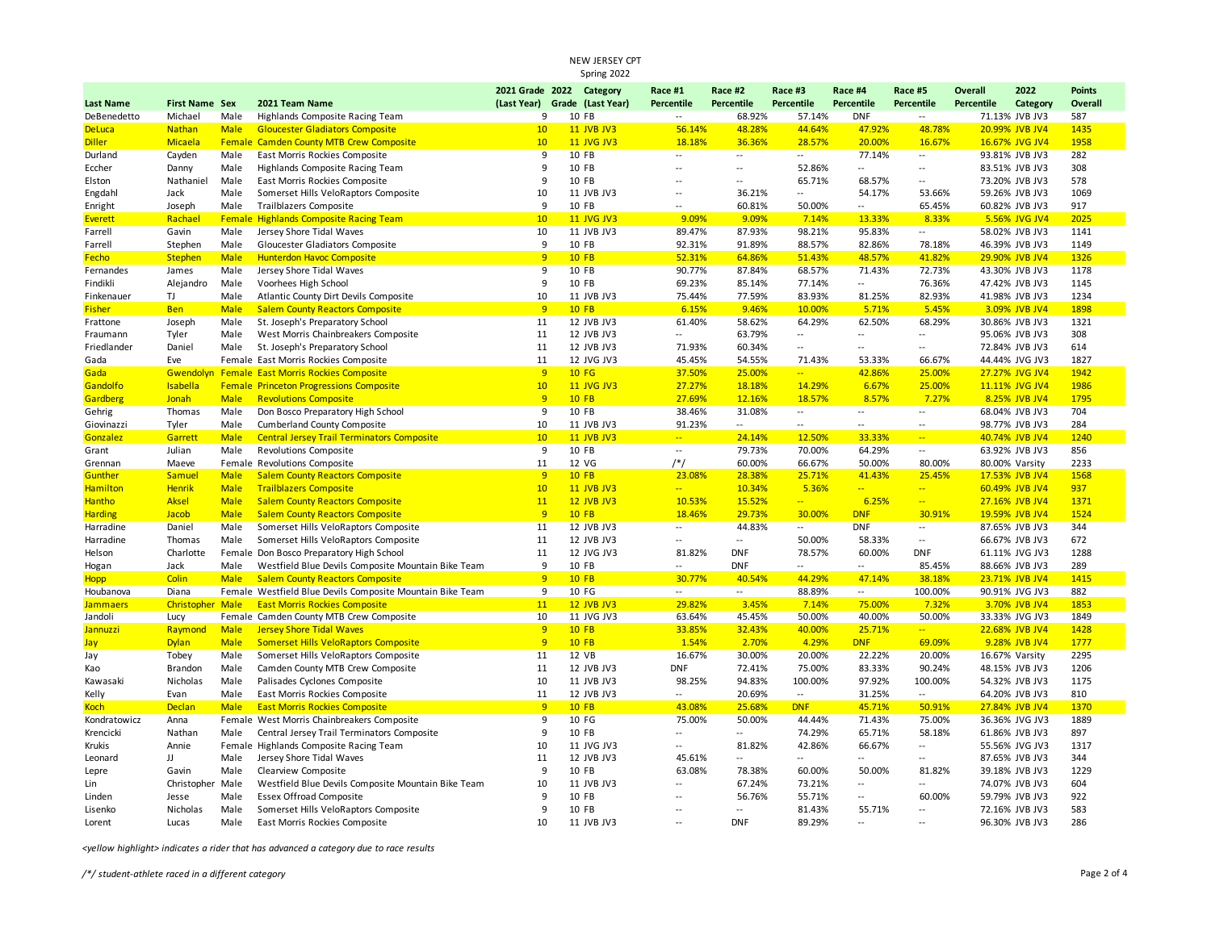| Spring 2022      |                         |             |                                                           |                          |   |                               |                          |                          |                          |                          |                              |                   |                |               |
|------------------|-------------------------|-------------|-----------------------------------------------------------|--------------------------|---|-------------------------------|--------------------------|--------------------------|--------------------------|--------------------------|------------------------------|-------------------|----------------|---------------|
|                  |                         |             |                                                           | 2021 Grade 2022 Category |   |                               | Race #1                  | Race #2                  | Race #3                  | Race #4                  | Race #5                      | Overall           | 2022           | <b>Points</b> |
| <b>Last Name</b> | <b>First Name Sex</b>   |             | 2021 Team Name                                            |                          |   | (Last Year) Grade (Last Year) | Percentile               | Percentile               | Percentile               | Percentile               | Percentile                   | <b>Percentile</b> | Category       | Overall       |
| DeBenedetto      | Michael                 | Male        | Highlands Composite Racing Team                           |                          | 9 | 10 FB                         | $\overline{\phantom{a}}$ | 68.92%                   | 57.14%                   | <b>DNF</b>               | $\sim$                       |                   | 71.13% JVB JV3 | 587           |
| <b>DeLuca</b>    | <b>Nathan</b>           | <b>Male</b> | <b>Gloucester Gladiators Composite</b>                    | 10                       |   | <b>11 JVB JV3</b>             | 56.14%                   | 48.28%                   | 44.64%                   | 47.92%                   | 48.78%                       |                   | 20.99% JVB JV4 | 1435          |
| <b>Diller</b>    | Micaela                 | Female      | <b>Camden County MTB Crew Composite</b>                   | 10                       |   | <b>11 JVG JV3</b>             | 18.18%                   | 36.36%                   | 28.57%                   | 20.00%                   | 16.67%                       |                   | 16.67% JVG JV4 | 1958          |
| Durland          | Cayden                  | Male        | East Morris Rockies Composite                             |                          | 9 | 10 FB                         | ۰.                       | --                       | $\overline{\phantom{a}}$ | 77.14%                   | $\sim$                       |                   | 93.81% JVB JV3 | 282           |
| Eccher           | Danny                   | Male        | Highlands Composite Racing Team                           | 9                        |   | 10 FB                         | $\overline{\phantom{a}}$ | Ξ.                       | 52.86%                   | $\overline{\phantom{a}}$ | $\overline{\phantom{a}}$     |                   | 83.51% JVB JV3 | 308           |
| Elston           | Nathaniel               | Male        | East Morris Rockies Composite                             | 9                        |   | 10 FB                         | $\overline{a}$           | $\overline{\phantom{a}}$ | 65.71%                   | 68.57%                   | $\sim$                       |                   | 73.20% JVB JV3 | 578           |
| Engdahl          | Jack                    | Male        | Somerset Hills VeloRaptors Composite                      | 10                       |   | 11 JVB JV3                    | $\overline{\phantom{a}}$ | 36.21%                   | $\sim$                   | 54.17%                   | 53.66%                       |                   | 59.26% JVB JV3 | 1069          |
| Enright          | Joseph                  | Male        | Trailblazers Composite                                    |                          | 9 | 10 FB                         | $\sim$ $\sim$            | 60.81%                   | 50.00%                   | $\overline{a}$           | 65.45%                       |                   | 60.82% JVB JV3 | 917           |
| <b>Everett</b>   | Rachael                 | Female      | <b>Highlands Composite Racing Team</b>                    | 10                       |   | 11 JVG JV3                    | 9.09%                    | 9.09%                    | 7.14%                    | 13.33%                   | 8.33%                        |                   | 5.56% JVG JV4  | 2025          |
| Farrell          | Gavin                   | Male        | Jersey Shore Tidal Waves                                  | 10                       |   | 11 JVB JV3                    | 89.47%                   | 87.93%                   | 98.21%                   | 95.83%                   | $\sim$                       |                   | 58.02% JVB JV3 | 1141          |
| Farrell          | Stephen                 | Male        | Gloucester Gladiators Composite                           |                          | 9 | 10 FB                         | 92.31%                   | 91.89%                   | 88.57%                   | 82.86%                   | 78.18%                       |                   | 46.39% JVB JV3 | 1149          |
| Fecho            | <b>Stephen</b>          | <b>Male</b> | <b>Hunterdon Havoc Composite</b>                          | 9                        |   | <b>10 FB</b>                  | 52.31%                   | 64.86%                   | 51.43%                   | 48.57%                   | 41.82%                       |                   | 29.90% JVB JV4 | 1326          |
| Fernandes        | James                   | Male        | Jersey Shore Tidal Waves                                  |                          | 9 | 10 FB                         | 90.77%                   | 87.84%                   | 68.57%                   | 71.43%                   | 72.73%                       |                   | 43.30% JVB JV3 | 1178          |
| Findikli         | Alejandro               | Male        | Voorhees High School                                      |                          | 9 | 10 FB                         | 69.23%                   | 85.14%                   | 77.14%                   | $\overline{\phantom{a}}$ | 76.36%                       |                   | 47.42% JVB JV3 | 1145          |
| Finkenauer       | TJ                      | Male        | Atlantic County Dirt Devils Composite                     | 10                       |   | 11 JVB JV3                    | 75.44%                   | 77.59%                   | 83.93%                   | 81.25%                   | 82.93%                       |                   | 41.98% JVB JV3 | 1234          |
| <b>Fisher</b>    | <b>Ben</b>              | <b>Male</b> | <b>Salem County Reactors Composite</b>                    | $\overline{9}$           |   | <b>10 FB</b>                  | 6.15%                    | 9.46%                    | 10.00%                   | 5.71%                    | 5.45%                        |                   | 3.09% JVB JV4  | 1898          |
| Frattone         | Joseph                  | Male        | St. Joseph's Preparatory School                           | 11                       |   | 12 JVB JV3                    | 61.40%                   | 58.62%                   | 64.29%                   | 62.50%                   | 68.29%                       |                   | 30.86% JVB JV3 | 1321          |
| Fraumann         | Tyler                   | Male        | West Morris Chainbreakers Composite                       | 11                       |   | 12 JVB JV3                    | $\overline{a}$           | 63.79%                   | $\sim$                   | Ξ.                       | $\sim$                       |                   | 95.06% JVB JV3 | 308           |
| Friedlander      | Daniel                  | Male        | St. Joseph's Preparatory School                           | 11                       |   | 12 JVB JV3                    | 71.93%                   | 60.34%                   | $\sim$                   | Ξ.                       | $\sim$                       |                   | 72.84% JVB JV3 | 614           |
| Gada             | Eve                     |             | Female East Morris Rockies Composite                      | 11                       |   | 12 JVG JV3                    | 45.45%                   | 54.55%                   | 71.43%                   | 53.33%                   | 66.67%                       |                   | 44.44% JVG JV3 | 1827          |
| Gada             | Gwendoly                | Female      | <b>East Morris Rockies Composite</b>                      | 9                        |   | <b>10 FG</b>                  | 37.50%                   | 25.00%                   | $\overline{a}$           | 42.86%                   | 25.00%                       |                   | 27.27% JVG JV4 | 1942          |
| Gandolfo         | Isabella                | Female      | <b>Princeton Progressions Composite</b>                   | 10                       |   | <b>11 JVG JV3</b>             | 27.27%                   | 18.18%                   | 14.29%                   | 6.67%                    | 25.00%                       |                   | 11.11% JVG JV4 | 1986          |
| Gardberg         | Jonah                   | <b>Male</b> | <b>Revolutions Composite</b>                              | 9                        |   | <b>10 FB</b>                  | 27.69%                   | 12.16%                   | 18.57%                   | 8.57%                    | 7.27%                        |                   | 8.25% JVB JV4  | 1795          |
| Gehrig           | Thomas                  | Male        | Don Bosco Preparatory High School                         | 9                        |   | 10 FB                         | 38.46%                   | 31.08%                   | $\sim$                   | Ξ.                       | $\overline{\phantom{a}}$     |                   | 68.04% JVB JV3 | 704           |
| Giovinazzi       | Tyler                   | Male        | Cumberland County Composite                               | 10                       |   | 11 JVB JV3                    | 91.23%                   | $\sim$                   | $\overline{\phantom{a}}$ | $\overline{\phantom{a}}$ | $\sim$                       |                   | 98.77% JVB JV3 | 284           |
| Gonzalez         | Garrett                 | <b>Male</b> | <b>Central Jersey Trail Terminators Composite</b>         | 10                       |   | <b>11 JVB JV3</b>             | $\frac{1}{2}$            | 24.14%                   | 12.50%                   | 33.33%                   | $\frac{1}{2}$                |                   | 40.74% JVB JV4 | 1240          |
| Grant            | Julian                  | Male        | <b>Revolutions Composite</b>                              |                          | 9 | 10 FB                         | $\sim$                   | 79.73%                   | 70.00%                   | 64.29%                   | $\overline{\phantom{a}}$     |                   | 63.92% JVB JV3 | 856           |
| Grennan          | Maeve                   | Female      | Revolutions Composite                                     | 11                       |   | 12 VG                         | /*/                      | 60.00%                   | 66.67%                   | 50.00%                   | 80.00%                       |                   | 80.00% Varsity | 2233          |
| Gunther          | Samuel                  | <b>Male</b> | <b>Salem County Reactors Composite</b>                    | $\overline{9}$           |   | <b>10 FB</b>                  | 23.08%                   | 28.38%                   | 25.71%                   | 41.43%                   | 25.45%                       |                   | 17.53% JVB JV4 | 1568          |
| <b>Hamilton</b>  | <b>Henrik</b>           | <b>Male</b> | <b>Trailblazers Composite</b>                             | 10                       |   | <b>11 JVB JV3</b>             | $\mathbb{Z}^2$           | 10.34%                   | 5.36%                    | <u>.,</u>                | $\overline{\phantom{a}}$     |                   | 60.49% JVB JV4 | 937           |
| <b>Hantho</b>    | <b>Aksel</b>            | <b>Male</b> | <b>Salem County Reactors Composite</b>                    | 11                       |   | <b>12 JVB JV3</b>             | 10.53%                   | 15.52%                   | $\frac{1}{2}$            | 6.25%                    | $\left  \frac{1}{2} \right $ |                   | 27.16% JVB JV4 | 1371          |
| <b>Harding</b>   | Jacob                   | <b>Male</b> | <b>Salem County Reactors Composite</b>                    | $\overline{9}$           |   | <b>10 FB</b>                  | 18.46%                   | 29.73%                   | 30.00%                   | <b>DNF</b>               | 30.91%                       |                   | 19.59% JVB JV4 | 1524          |
| Harradine        | Daniel                  | Male        | Somerset Hills VeloRaptors Composite                      | 11                       |   | 12 JVB JV3                    | $\sim$                   | 44.83%                   | $\overline{\phantom{a}}$ | <b>DNF</b>               | $\overline{\phantom{a}}$     |                   | 87.65% JVB JV3 | 344           |
| Harradine        | Thomas                  | Male        | Somerset Hills VeloRaptors Composite                      | 11                       |   | 12 JVB JV3                    | $\overline{\phantom{a}}$ | $\sim$                   | 50.00%                   | 58.33%                   | $\sim$                       |                   | 66.67% JVB JV3 | 672           |
| Helson           | Charlotte               | Female      | Don Bosco Preparatory High School                         | 11                       |   | 12 JVG JV3                    | 81.82%                   | <b>DNF</b>               | 78.57%                   | 60.00%                   | <b>DNF</b>                   |                   | 61.11% JVG JV3 | 1288          |
| Hogan            | Jack                    | Male        | Westfield Blue Devils Composite Mountain Bike Team        | 9                        |   | 10 FB                         |                          | <b>DNF</b>               |                          | $\overline{\phantom{a}}$ | 85.45%                       |                   | 88.66% JVB JV3 | 289           |
| Hopp             | Colin                   | <b>Male</b> | <b>Salem County Reactors Composite</b>                    | $\overline{9}$           |   | <b>10 FB</b>                  | 30.77%                   | 40.54%                   | 44.29%                   | 47.14%                   | 38.18%                       |                   | 23.71% JVB JV4 | 1415          |
| Houbanova        | Diana                   |             | Female Westfield Blue Devils Composite Mountain Bike Team | 9                        |   | 10 FG                         | $\sim$                   | $\sim$                   | 88.89%                   | $\sim$                   | 100.00%                      |                   | 90.91% JVG JV3 | 882           |
| Jammaers         | <b>Christopher Male</b> |             | <b>East Morris Rockies Composite</b>                      | 11                       |   | <b>12 JVB JV3</b>             | 29.82%                   | 3.45%                    | 7.14%                    | 75.00%                   | 7.32%                        |                   | 3.70% JVB JV4  | 1853          |
| Jandoli          | Lucy                    | Female      | Camden County MTB Crew Composite                          | 10                       |   | 11 JVG JV3                    | 63.64%                   | 45.45%                   | 50.00%                   | 40.00%                   | 50.00%                       |                   | 33.33% JVG JV3 | 1849          |
| Jannuzzi         | Raymond                 | <b>Male</b> | <b>Jersey Shore Tidal Waves</b>                           | 9                        |   | <b>10 FB</b>                  | 33.85%                   | 32.43%                   | 40.00%                   | 25.71%                   | $\mathbf{L}$                 |                   | 22.68% JVB JV4 | 1428          |
| Jay              | <b>Dylan</b>            | Male        | Somerset Hills VeloRaptors Composite                      | 9                        |   | <b>10 FB</b>                  | 1.54%                    | 2.70%                    | 4.29%                    | <b>DNF</b>               | 69.09%                       |                   | 9.28% JVB JV4  | 1777          |
| Jay              | Tobey                   | Male        | Somerset Hills VeloRaptors Composite                      | 11                       |   | 12 VB                         | 16.67%                   | 30.00%                   | 20.00%                   | 22.22%                   | 20.00%                       |                   | 16.67% Varsity | 2295          |
| Kao              | Brandon                 | Male        | Camden County MTB Crew Composite                          | 11                       |   | 12 JVB JV3                    | <b>DNF</b>               | 72.41%                   | 75.00%                   | 83.33%                   | 90.24%                       |                   | 48.15% JVB JV3 | 1206          |
| Kawasaki         | Nicholas                | Male        | Palisades Cyclones Composite                              | 10                       |   | 11 JVB JV3                    | 98.25%                   | 94.83%                   | 100.00%                  | 97.92%                   | 100.00%                      |                   | 54.32% JVB JV3 | 1175          |
| Kelly            | Evan                    | Male        | East Morris Rockies Composite                             | 11                       |   | 12 JVB JV3                    | $\sim$                   | 20.69%                   | $\overline{\phantom{a}}$ | 31.25%                   | $\sim$                       |                   | 64.20% JVB JV3 | 810           |
| <b>Koch</b>      | <b>Declan</b>           | <b>Male</b> | <b>East Morris Rockies Composite</b>                      | 9                        |   | <b>10 FB</b>                  | 43.08%                   | 25.68%                   | <b>DNF</b>               | 45.71%                   | 50.91%                       |                   | 27.84% JVB JV4 | 1370          |
| Kondratowicz     | Anna                    | Female      | West Morris Chainbreakers Composite                       |                          | 9 | 10 FG                         | 75.00%                   | 50.00%                   | 44.44%                   | 71.43%                   | 75.00%                       |                   | 36.36% JVG JV3 | 1889          |
| Krencicki        | Nathan                  | Male        | Central Jersey Trail Terminators Composite                |                          | 9 | 10 FB                         | $\overline{\phantom{a}}$ | $\overline{\phantom{a}}$ | 74.29%                   | 65.71%                   | 58.18%                       |                   | 61.86% JVB JV3 | 897           |
| Krukis           | Annie                   | Female      | Highlands Composite Racing Team                           | 10                       |   | 11 JVG JV3                    | $\sim$                   | 81.82%                   | 42.86%                   | 66.67%                   | $\sim$                       |                   | 55.56% JVG JV3 | 1317          |
| Leonard          | JJ                      | Male        | Jersey Shore Tidal Waves                                  | 11                       |   | 12 JVB JV3                    | 45.61%                   | Ξ.                       | $\sim$                   | Ξ.                       | $\overline{\phantom{a}}$     |                   | 87.65% JVB JV3 | 344           |
| Lepre            | Gavin                   | Male        | Clearview Composite                                       | 9                        |   | 10 FB                         | 63.08%                   | 78.38%                   | 60.00%                   | 50.00%                   | 81.82%                       |                   | 39.18% JVB JV3 | 1229          |
| Lin              | Christopher Male        |             | Westfield Blue Devils Composite Mountain Bike Team        | 10                       |   | 11 JVB JV3                    | $\overline{\phantom{a}}$ | 67.24%                   | 73.21%                   | Ξ.                       | $\overline{\phantom{a}}$     |                   | 74.07% JVB JV3 | 604           |
| Linden           | Jesse                   | Male        | <b>Essex Offroad Composite</b>                            | 9                        |   | 10 FB                         | $\ddotsc$                | 56.76%                   | 55.71%                   | $\overline{a}$           | 60.00%                       |                   | 59.79% JVB JV3 | 922           |
| Lisenko          | Nicholas                | Male        | Somerset Hills VeloRaptors Composite                      | 9                        |   | 10 FB                         | $\overline{\phantom{a}}$ | $\overline{a}$           | 81.43%                   | 55.71%                   | $\overline{\phantom{a}}$     |                   | 72.16% JVB JV3 | 583           |
| Lorent           | Lucas                   | Male        | East Morris Rockies Composite                             | 10                       |   | 11 JVB JV3                    | $\overline{\phantom{a}}$ | <b>DNF</b>               | 89.29%                   | $\ddotsc$                | $\sim$                       |                   | 96.30% JVB JV3 | 286           |

*<yellow highlight> indicates a rider that has advanced a category due to race results*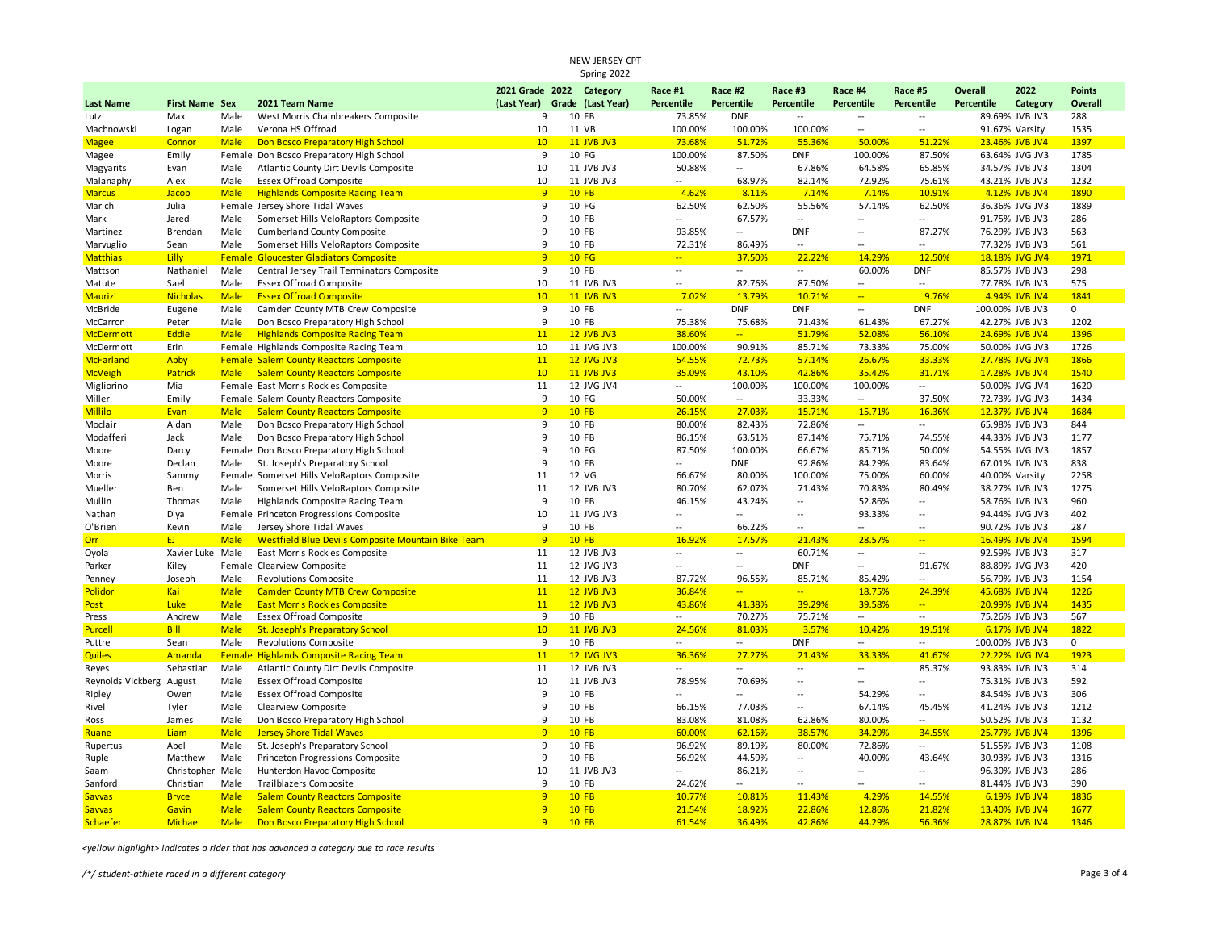|                          |                           |             |                                                      |                               | Spring 2022         |                          |                                       |                          |                                    |                            |                 |                                  |               |
|--------------------------|---------------------------|-------------|------------------------------------------------------|-------------------------------|---------------------|--------------------------|---------------------------------------|--------------------------|------------------------------------|----------------------------|-----------------|----------------------------------|---------------|
|                          |                           |             |                                                      | 2021 Grade 2022 Category      |                     | Race #1                  | Race #2                               | Race #3                  | Race #4                            | Race #5                    | Overall         | 2022                             | <b>Points</b> |
| <b>Last Name</b>         | <b>First Name Sex</b>     |             | 2021 Team Name                                       | (Last Year) Grade (Last Year) |                     | Percentile               | Percentile                            | Percentile               | Percentile                         | Percentile                 | Percentile      | Category                         | Overall       |
| Lutz                     | Max                       | Male        | West Morris Chainbreakers Composite                  | 9                             | 10 FB               | 73.85%                   | <b>DNF</b>                            | $\overline{\phantom{a}}$ | $\sim$                             | $\overline{a}$             |                 | 89.69% JVB JV3                   | 288           |
| Machnowski               | Logan                     | Male        | Verona HS Offroad                                    | 10                            | 11 VB               | 100.00%                  | 100.00%                               | 100.00%                  | $\overline{\phantom{a}}$           | $\ddot{\phantom{a}}$       |                 | 91.67% Varsity                   | 1535          |
| <b>Magee</b>             | Connor                    | <b>Male</b> | Don Bosco Preparatory High School                    | 10                            | <b>11 JVB JV3</b>   | 73.68%                   | 51.72%                                | 55.36%                   | 50.00%                             | 51.22%                     |                 | 23.46% JVB JV4                   | 1397          |
| Magee                    | Emily                     | Female      | Don Bosco Preparatory High School                    | 9                             | 10 FG               | 100.00%                  | 87.50%                                | <b>DNF</b>               | 100.00%                            | 87.50%                     |                 | 63.64% JVG JV3                   | 1785          |
| Magyarits                | Evan                      | Male        | Atlantic County Dirt Devils Composite                | 10                            | 11 JVB JV3          | 50.88%                   | $\overline{\phantom{a}}$              | 67.86%                   | 64.58%                             | 65.85%                     |                 | 34.57% JVB JV3                   | 1304          |
| Malanaphy                | Alex                      | Male        | <b>Essex Offroad Composite</b>                       | 10                            | 11 JVB JV3          | --                       | 68.97%                                | 82.14%                   | 72.92%                             | 75.61%                     |                 | 43.21% JVB JV3                   | 1232          |
| <b>Marcus</b>            | Jacob                     | <b>Male</b> | <b>Highlands Composite Racing Team</b>               | 9                             | $10$ FB             | 4.62%                    | 8.11%                                 | 7.14%                    | 7.14%                              | 10.91%                     |                 | 4.12% JVB JV4                    | 1890          |
| Marich                   | Julia                     |             | Female Jersey Shore Tidal Waves                      | 9                             | 10 FG               | 62.50%                   | 62.50%                                | 55.56%                   | 57.14%                             | 62.50%                     |                 | 36.36% JVG JV3                   | 1889          |
| Mark                     | Jared                     | Male        | Somerset Hills VeloRaptors Composite                 | 9                             | 10 FB               | Щ,                       | 67.57%                                | Ξ.                       | $\sim$                             | u.                         |                 | 91.75% JVB JV3                   | 286           |
| Martinez                 | Brendan                   | Male        | Cumberland County Composite                          | 9                             | 10 FB               | 93.85%                   | $\sim$                                | <b>DNF</b>               | $\sim$                             | 87.27%                     |                 | 76.29% JVB JV3                   | 563           |
| Marvuglio                | Sean                      | Male        | Somerset Hills VeloRaptors Composite                 | 9                             | 10 FB               | 72.31%                   | 86.49%                                |                          | $-$                                | $\overline{a}$             |                 | 77.32% JVB JV3                   | 561           |
| <b>Matthias</b>          | <b>Lilly</b>              | Female      | <b>Gloucester Gladiators Composite</b>               | 9                             | <b>10 FG</b>        | $\frac{1}{2}$            | 37.50%                                | 22.22%                   | 14.29%                             | 12.50%                     |                 | 18.18% JVG JV4                   | 1971          |
| Mattson                  | Nathaniel                 | Male        | Central Jersey Trail Terminators Composite           | 9                             | 10 FB               | $\overline{a}$           | $\sim$ $\sim$                         | $\sim$                   | 60.00%                             | <b>DNF</b>                 |                 | 85.57% JVB JV3                   | 298           |
| Matute                   | Sael                      | Male        | <b>Essex Offroad Composite</b>                       | 10                            | 11 JVB JV3          | $\overline{\phantom{a}}$ | 82.76%                                | 87.50%                   | $\overline{\phantom{a}}$           | $\overline{a}$             |                 | 77.78% JVB JV3                   | 575           |
| <b>Maurizi</b>           | <b>Nicholas</b>           | <b>Male</b> | <b>Essex Offroad Composite</b>                       | 10                            | <b>11 JVB JV3</b>   | 7.02%                    | 13.79%                                | 10.71%                   | $\mathbb{Z}^2$                     | 9.76%                      |                 | 4.94% JVB JV4                    | 1841          |
| McBride                  | Eugene                    | Male        | Camden County MTB Crew Composite                     | 9                             | 10 FB               | --                       | <b>DNF</b>                            | <b>DNF</b>               | $\sim$                             | <b>DNF</b>                 | 100.00% JVB JV3 |                                  | 0             |
| McCarron                 | Peter                     | Male        | Don Bosco Preparatory High School                    | 9                             | 10 FB               | 75.38%                   | 75.68%                                | 71.43%                   | 61.43%                             | 67.27%                     |                 | 42.27% JVB JV3                   | 1202          |
| <b>McDermott</b>         | Eddie                     | <b>Male</b> | <b>Highlands Composite Racing Team</b>               | 11                            | <b>12 JVB JV3</b>   | 38.60%                   | $\mathbb{L} \mathbb{L}$               | 51.79%                   | 52.08%                             | 56.10%                     |                 | 24.69% JVB JV4                   | 1396          |
| McDermott                | Erin                      |             | Female Highlands Composite Racing Team               | 10                            | 11 JVG JV3          | 100.00%                  | 90.91%                                | 85.71%                   | 73.33%                             | 75.00%                     |                 | 50.00% JVG JV3                   | 1726          |
| <b>McFarland</b>         | Abby                      |             | <b>Female Salem County Reactors Composite</b>        | 11                            | <b>12 JVG JV3</b>   | 54.55%                   | 72.73%                                | 57.14%                   | 26.67%                             | 33.33%                     |                 | 27.78% JVG JV4                   | 1866          |
| McVeigh                  | Patrick                   | <b>Male</b> | <b>Salem County Reactors Composite</b>               | 10                            | <b>11 JVB JV3</b>   | 35.09%                   | 43.10%                                | 42.86%                   | 35.42%                             | 31.71%                     |                 | 17.28% JVB JV4                   | 1540          |
| Migliorino               | Mia                       |             | Female East Morris Rockies Composite                 | 11                            | 12 JVG JV4          | $\sim$                   | 100.00%                               | 100.00%                  | 100.00%                            | $\overline{\phantom{a}}$   |                 | 50.00% JVG JV4                   | 1620          |
| Miller                   | Emily                     |             | Female Salem County Reactors Composite               | 9                             | 10 FG               | 50.00%                   | $\sim$                                | 33.33%                   | $\sim$                             | 37.50%                     |                 | 72.73% JVG JV3                   | 1434          |
| Millilo                  | Evan                      | <b>Male</b> | <b>Salem County Reactors Composite</b>               | 9                             | <b>10 FB</b>        | 26.15%                   | 27.03%                                | 15.71%                   | 15.71%                             | 16.36%                     |                 | 12.37% JVB JV4                   | 1684          |
| Moclair                  | Aidan                     | Male        | Don Bosco Preparatory High School                    | 9                             | 10 FB               | 80.00%                   | 82.43%                                | 72.86%                   | $\overline{\phantom{a}}$           | $\overline{\phantom{a}}$   |                 | 65.98% JVB JV3                   | 844           |
| Modafferi                | Jack                      | Male        | Don Bosco Preparatory High School                    | 9                             | 10 FB               | 86.15%                   | 63.51%                                | 87.14%                   | 75.71%                             | 74.55%                     |                 | 44.33% JVB JV3                   | 1177          |
| Moore                    | Darcy                     |             | Female Don Bosco Preparatory High School             | 9                             | 10 FG               | 87.50%                   | 100.00%                               | 66.67%                   | 85.71%                             | 50.00%                     |                 | 54.55% JVG JV3                   | 1857          |
| Moore                    | Declan                    | Male        | St. Joseph's Preparatory School                      | 9                             | 10 FB<br>12 VG      | Щ,                       | <b>DNF</b>                            | 92.86%                   | 84.29%                             | 83.64%                     |                 | 67.01% JVB JV3                   | 838           |
| Morris                   | Sammy                     | Female      | Somerset Hills VeloRaptors Composite                 | $11\,$                        |                     | 66.67%                   | 80.00%                                | 100.00%                  | 75.00%                             | 60.00%                     |                 | 40.00% Varsity                   | 2258          |
| Mueller                  | Ben                       | Male        | Somerset Hills VeloRaptors Composite                 | $11\,$<br>9                   | 12 JVB JV3          | 80.70%                   | 62.07%                                | 71.43%                   | 70.83%                             | 80.49%                     |                 | 38.27% JVB JV3                   | 1275          |
| Mullin                   | Thomas                    | Male        | Highlands Composite Racing Team                      |                               | 10 FB               | 46.15%<br>$\overline{a}$ | 43.24%<br>$\overline{\phantom{a}}$    | $\overline{a}$<br>$\sim$ | 52.86%<br>93.33%                   | Щ.<br>$\ddot{\phantom{a}}$ |                 | 58.76% JVB JV3                   | 960           |
| Nathan                   | Diya                      | Female      | Princeton Progressions Composite                     | 10<br>9                       | 11 JVG JV3<br>10 FB |                          |                                       | Ξ.                       |                                    |                            |                 | 94.44% JVG JV3                   | 402<br>287    |
| O'Brien                  | Kevin<br>EJ.              | Male        | Jersey Shore Tidal Waves                             | 9                             | 10 FB               | --                       | 66.22%                                |                          | $\sim$                             | $\overline{a}$<br>$\Box$   |                 | 90.72% JVB JV3<br>16.49% JVB JV4 | 1594          |
| <b>Orr</b>               |                           | <b>Male</b> | Westfield Blue Devils Composite Mountain Bike Team   | 11                            | 12 JVB JV3          | 16.92%<br>Ξ.             | 17.57%<br>$\mathcal{L}_{\mathcal{A}}$ | 21.43%<br>60.71%         | 28.57%<br>$\overline{\phantom{a}}$ | $\sim$                     |                 | 92.59% JVB JV3                   | 317           |
| Oyola<br>Parker          | Xavier Luke Male<br>Kiley | Female      | East Morris Rockies Composite<br>Clearview Composite | 11                            | 12 JVG JV3          | Ξ.                       | $\overline{\phantom{a}}$              | <b>DNF</b>               | $\overline{\phantom{a}}$           | 91.67%                     |                 | 88.89% JVG JV3                   | 420           |
|                          | Joseph                    | Male        | <b>Revolutions Composite</b>                         | 11                            | 12 JVB JV3          | 87.72%                   | 96.55%                                | 85.71%                   | 85.42%                             | $\overline{\phantom{a}}$   |                 | 56.79% JVB JV3                   | 1154          |
| Penney<br>Polidori       | Kai                       | <b>Male</b> | <b>Camden County MTB Crew Composite</b>              | 11                            | <b>12 JVB JV3</b>   | 36.84%                   | $\sim$                                | $\frac{1}{2}$            | 18.75%                             | 24.39%                     |                 | 45.68% JVB JV4                   | 1226          |
| Post                     | Luke                      | <b>Male</b> | <b>East Morris Rockies Composite</b>                 | 11                            | <b>12 JVB JV3</b>   | 43.86%                   | 41.38%                                | 39.29%                   | 39.58%                             | u.                         |                 | 20.99% JVB JV4                   | 1435          |
| Press                    | Andrew                    | Male        | <b>Essex Offroad Composite</b>                       | 9                             | 10 FB               | $\sim$ $\sim$            | 70.27%                                | 75.71%                   | $\sim$                             | $\sim$                     |                 | 75.26% JVB JV3                   | 567           |
| <b>Purcell</b>           | <b>Bill</b>               | <b>Male</b> | <b>St. Joseph's Preparatory School</b>               | 10                            | <b>11 JVB JV3</b>   | 24.56%                   | 81.03%                                | 3.57%                    | 10.42%                             | 19.51%                     |                 | 6.17% JVB JV4                    | 1822          |
| Puttre                   | Sean                      | Male        | <b>Revolutions Composite</b>                         | 9                             | 10 FB               | $\sim$                   | $\sim$                                | <b>DNF</b>               | $\sim$                             | $\sim$                     | 100.00% JVB JV3 |                                  | 0             |
| <b>Quiles</b>            | Amanda                    | Female      | <b>Highlands Composite Racing Team</b>               | 11                            | <b>12 JVG JV3</b>   | 36.36%                   | 27.27%                                | 21.43%                   | 33.33%                             | 41.67%                     |                 | 22.22% JVG JV4                   | 1923          |
| Reyes                    | Sebastian                 | Male        | Atlantic County Dirt Devils Composite                | 11                            | 12 JVB JV3          | Щ.                       | $\overline{\phantom{a}}$              | $\overline{a}$           | $\overline{\phantom{a}}$           | 85.37%                     |                 | 93.83% JVB JV3                   | 314           |
| Reynolds Vickberg August |                           | Male        | <b>Essex Offroad Composite</b>                       | 10                            | 11 JVB JV3          | 78.95%                   | 70.69%                                | Ξ.                       | $\sim$                             | $\overline{a}$             |                 | 75.31% JVB JV3                   | 592           |
| Ripley                   | Owen                      | Male        | <b>Essex Offroad Composite</b>                       | $\mathbf{q}$                  | 10 FB               | Ξ.                       | $\sim$                                | Ξ.                       | 54.29%                             | Щ.                         |                 | 84.54% JVB JV3                   | 306           |
| Rivel                    | Tyler                     | Male        | Clearview Composite                                  | 9                             | 10 FB               | 66.15%                   | 77.03%                                | $\overline{a}$           | 67.14%                             | 45.45%                     |                 | 41.24% JVB JV3                   | 1212          |
| Ross                     | James                     | Male        | Don Bosco Preparatory High School                    | 9                             | 10 FB               | 83.08%                   | 81.08%                                | 62.86%                   | 80.00%                             | $\overline{\phantom{a}}$   |                 | 50.52% JVB JV3                   | 1132          |
| Ruane                    | Liam                      | <b>Male</b> | <b>Jersey Shore Tidal Waves</b>                      | 9                             | <b>10 FB</b>        | 60.00%                   | 62.16%                                | 38.57%                   | 34.29%                             | 34.55%                     |                 | 25.77% JVB JV4                   | 1396          |
| Rupertus                 | Abel                      | Male        | St. Joseph's Preparatory School                      | 9                             | 10 FB               | 96.92%                   | 89.19%                                | 80.00%                   | 72.86%                             | Щ.                         |                 | 51.55% JVB JV3                   | 1108          |
| Ruple                    | Matthew                   | Male        | Princeton Progressions Composite                     | 9                             | 10 FB               | 56.92%                   | 44.59%                                | Ξ.                       | 40.00%                             | 43.64%                     |                 | 30.93% JVB JV3                   | 1316          |
| Saam                     | Christopher               | Male        | Hunterdon Havoc Composite                            | 10                            | 11 JVB JV3          | --                       | 86.21%                                | Ξ.                       | $\overline{\phantom{a}}$           | $\sim$                     |                 | 96.30% JVB JV3                   | 286           |
| Sanford                  | Christian                 | Male        | Trailblazers Composite                               | 9                             | 10 FB               | 24.62%                   | $\overline{\phantom{a}}$              | $\overline{a}$           | $\overline{\phantom{a}}$           | Щ.                         |                 | 81.44% JVB JV3                   | 390           |
| <b>Sawas</b>             | <b>Bryce</b>              | <b>Male</b> | <b>Salem County Reactors Composite</b>               | $\overline{q}$                | <b>10 FB</b>        | 10.77%                   | 10.81%                                | 11.43%                   | 4.29%                              | 14.55%                     |                 | 6.19% JVB JV4                    | 1836          |
| <b>Sawas</b>             | Gavin                     | <b>Male</b> | <b>Salem County Reactors Composite</b>               | 9                             | <b>10 FB</b>        | 21.54%                   | 18.92%                                | 22.86%                   | 12.86%                             | 21.82%                     |                 | 13.40% JVB JV4                   | 1677          |
| Schaefer                 | <b>Michael</b>            | <b>Male</b> | Don Bosco Preparatory High School                    | $\overline{q}$                | $10$ FB             | 61.54%                   | 36.49%                                | 42.86%                   | 44.29%                             | 56.36%                     |                 | 28.87% JVB JV4                   | 1346          |

*<yellow highlight> indicates a rider that has advanced a category due to race results*